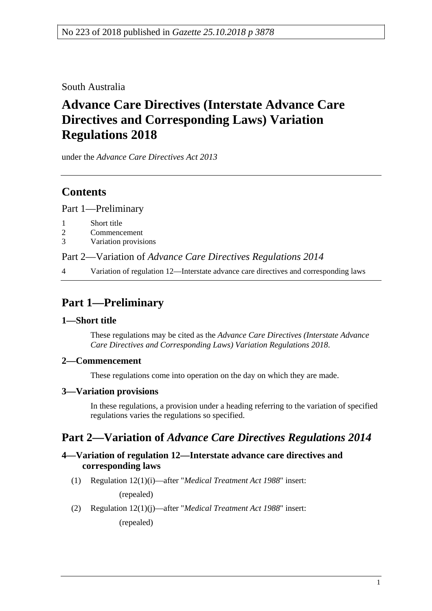South Australia

# **Advance Care Directives (Interstate Advance Care Directives and Corresponding Laws) Variation Regulations 2018**

under the *Advance Care Directives Act 2013*

### **Contents**

Part [1—Preliminary](#page-0-0)

- 1 [Short title](#page-0-1)
- 2 [Commencement](#page-0-2)
- 3 [Variation provisions](#page-0-3)

Part 2—Variation of *[Advance Care Directives Regulations 2014](#page-0-4)*

4 [Variation of regulation 12—Interstate advance care directives and corresponding laws](#page-0-5)

# <span id="page-0-0"></span>**Part 1—Preliminary**

#### <span id="page-0-1"></span>**1—Short title**

These regulations may be cited as the *Advance Care Directives (Interstate Advance Care Directives and Corresponding Laws) Variation Regulations 2018*.

### <span id="page-0-2"></span>**2—Commencement**

These regulations come into operation on the day on which they are made.

### <span id="page-0-3"></span>**3—Variation provisions**

In these regulations, a provision under a heading referring to the variation of specified regulations varies the regulations so specified.

## <span id="page-0-4"></span>**Part 2—Variation of** *Advance Care Directives Regulations 2014*

#### <span id="page-0-5"></span>**4—Variation of regulation 12—Interstate advance care directives and corresponding laws**

(1) Regulation 12(1)(i)—after "*Medical Treatment Act 1988*" insert:

(repealed)

(2) Regulation 12(1)(j)—after "*Medical Treatment Act 1988*" insert: (repealed)